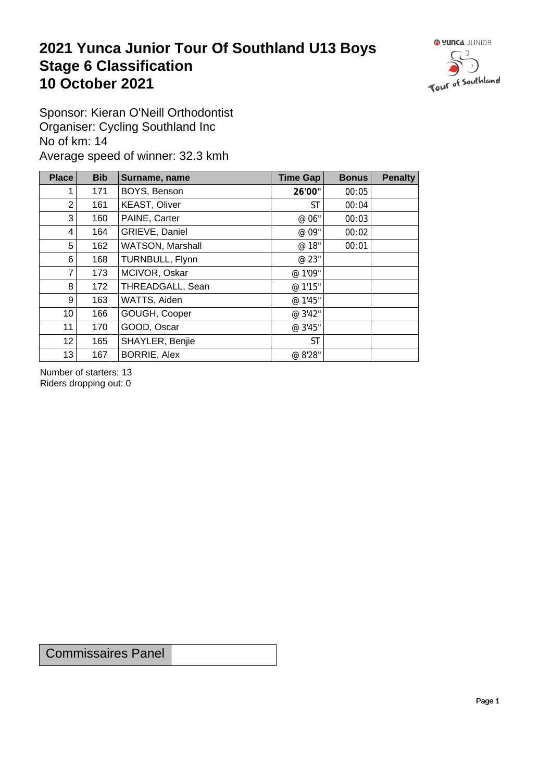## **2021 Yunca Junior Tour Of Southland U13 Boys** Stage 6 Classification<br>10 October 2021 **10 October 2021**



Sponsor: Kieran O'Neill Orthodontist Organiser: Cycling Southland Inc No of km: 14 Average speed of winner: 32.3 kmh

| <b>Place</b>    | <b>Bib</b> | Surname, name        | Time Gap  | <b>Bonus</b> | <b>Penalty</b> |
|-----------------|------------|----------------------|-----------|--------------|----------------|
|                 | 171        | BOYS, Benson         | 26'00"    | 00:05        |                |
| $\overline{2}$  | 161        | <b>KEAST, Oliver</b> | ST        | 00:04        |                |
| 3               | 160        | PAINE, Carter        | @ 06"     | 00:03        |                |
| 4               | 164        | GRIEVE, Daniel       | @ 09"     | 00:02        |                |
| 5               | 162        | WATSON, Marshall     | @ 18"     | 00:01        |                |
| 6               | 168        | TURNBULL, Flynn      | @ 23"     |              |                |
| $\overline{7}$  | 173        | MCIVOR, Oskar        | @ 1'09"   |              |                |
| 8               | 172        | THREADGALL, Sean     | @ 1'15"   |              |                |
| 9               | 163        | WATTS, Aiden         | @ 1'45"   |              |                |
| 10 <sup>1</sup> | 166        | GOUGH, Cooper        | @ 3'42"   |              |                |
| 11              | 170        | GOOD, Oscar          | @ 3'45"   |              |                |
| 12              | 165        | SHAYLER, Benjie      | <b>ST</b> |              |                |
| 13              | 167        | <b>BORRIE, Alex</b>  | @ 8'28"   |              |                |

Number of starters: 13 Riders dropping out: 0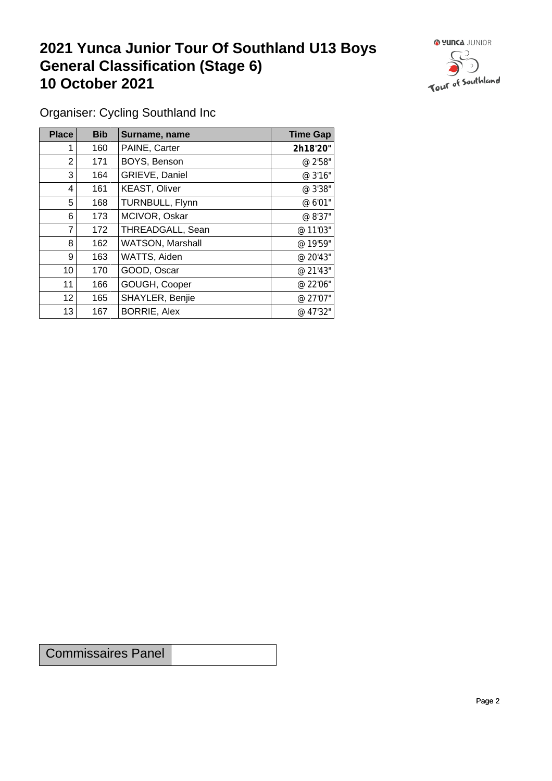## **2021 Yunca Junior Tour Of Southland U13 Boys General Classification (Stage 6)**<br>10 October 2021 **10 October 2021**



Organiser: Cycling Southland Inc

| Place           | <b>Bib</b> | Surname, name        | <b>Time Gap</b> |
|-----------------|------------|----------------------|-----------------|
|                 | 160        | PAINE, Carter        | 2h18'20"        |
| $\overline{2}$  | 171        | BOYS, Benson         | @ 2'58"         |
| 3               | 164        | GRIEVE, Daniel       | @ 3'16"         |
| 4               | 161        | <b>KEAST, Oliver</b> | @ 3'38"         |
| 5               | 168        | TURNBULL, Flynn      | @ 6'01"         |
| 6               | 173        | MCIVOR, Oskar        | @ 8'37"         |
| 7               | 172        | THREADGALL, Sean     | @ 11'03"        |
| 8               | 162        | WATSON, Marshall     | @ 19'59"        |
| 9 <sup>1</sup>  | 163        | WATTS, Aiden         | @ 20'43"        |
| 10              | 170        | GOOD, Oscar          | @ 21'43"        |
| 11              | 166        | GOUGH, Cooper        | @ 22'06"        |
| 12 <sup>°</sup> | 165        | SHAYLER, Benjie      | @ 27'07"        |
| 13              | 167        | <b>BORRIE, Alex</b>  | @ 47'32"        |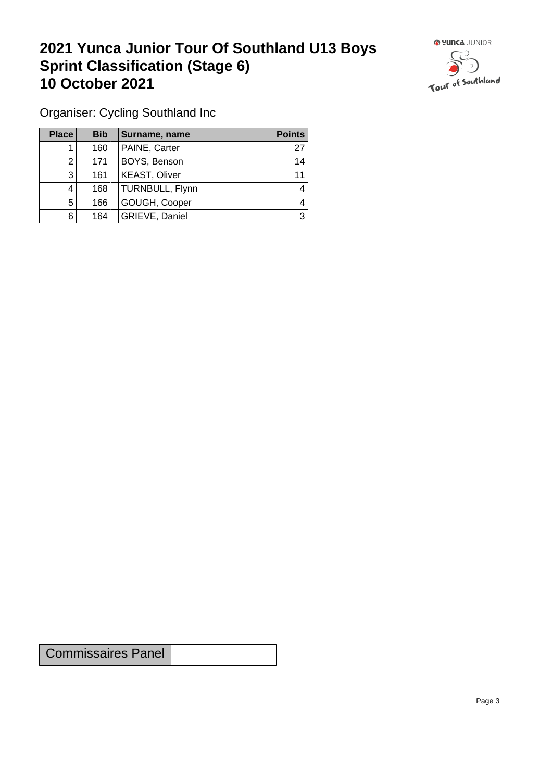## **2021 Yunca Junior Tour Of Southland U13 Boys Sprint Classification (Stage 6) 10 October 2021**



Organiser: Cycling Southland Inc

| Place | <b>Bib</b> | Surname, name        | <b>Points</b> |
|-------|------------|----------------------|---------------|
|       | 160        | PAINE, Carter        | 27            |
| ົ     | 171        | BOYS, Benson         | 14            |
| ົ     | 161        | <b>KEAST, Oliver</b> | 11            |
|       | 168        | TURNBULL, Flynn      | 4             |
| 5     | 166        | GOUGH, Cooper        | 4             |
| 6     | 164        | GRIEVE, Daniel       | 3             |